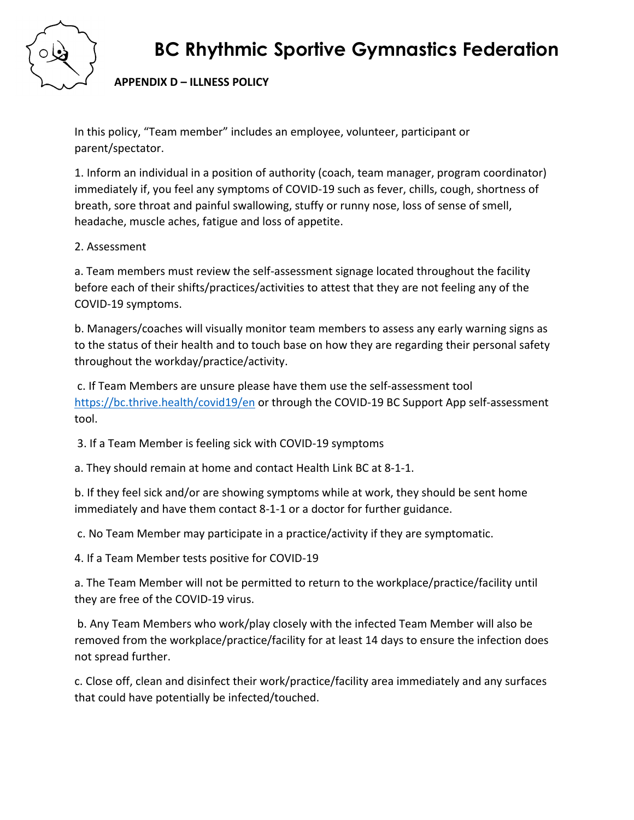

## **BC Rhythmic Sportive Gymnastics Federation**

### **APPENDIX D – ILLNESS POLICY**

In this policy, "Team member" includes an employee, volunteer, participant or parent/spectator.

1. Inform an individual in a position of authority (coach, team manager, program coordinator) immediately if, you feel any symptoms of COVID-19 such as fever, chills, cough, shortness of breath, sore throat and painful swallowing, stuffy or runny nose, loss of sense of smell, headache, muscle aches, fatigue and loss of appetite.

#### 2. Assessment

a. Team members must review the self-assessment signage located throughout the facility before each of their shifts/practices/activities to attest that they are not feeling any of the COVID-19 symptoms.

b. Managers/coaches will visually monitor team members to assess any early warning signs as to the status of their health and to touch base on how they are regarding their personal safety throughout the workday/practice/activity.

c. If Team Members are unsure please have them use the self-assessment tool <https://bc.thrive.health/covid19/en> or through the COVID-19 BC Support App self-assessment tool.

3. If a Team Member is feeling sick with COVID-19 symptoms

a. They should remain at home and contact Health Link BC at 8-1-1.

b. If they feel sick and/or are showing symptoms while at work, they should be sent home immediately and have them contact 8-1-1 or a doctor for further guidance.

c. No Team Member may participate in a practice/activity if they are symptomatic.

4. If a Team Member tests positive for COVID-19

a. The Team Member will not be permitted to return to the workplace/practice/facility until they are free of the COVID-19 virus.

b. Any Team Members who work/play closely with the infected Team Member will also be removed from the workplace/practice/facility for at least 14 days to ensure the infection does not spread further.

c. Close off, clean and disinfect their work/practice/facility area immediately and any surfaces that could have potentially be infected/touched.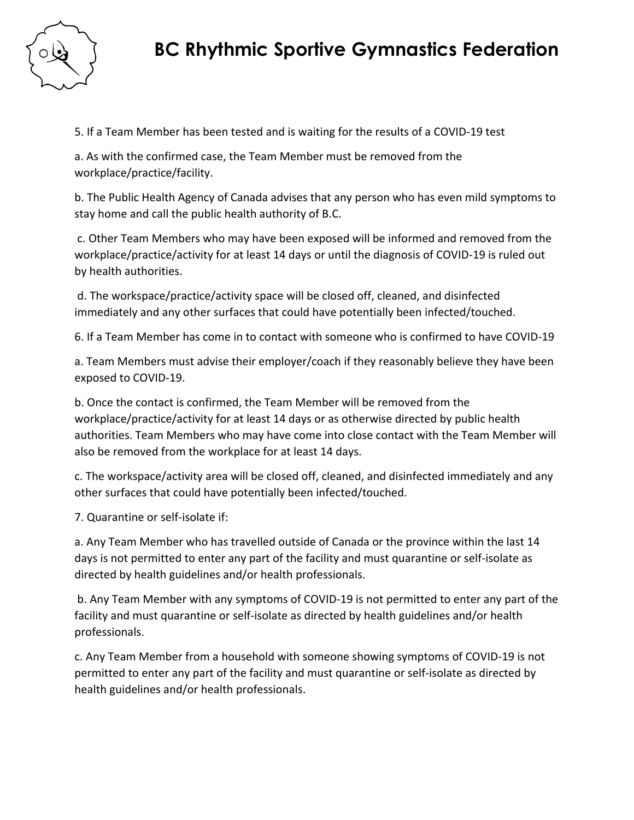

### **BC Rhythmic Sportive Gymnastics Federation**

5. If a Team Member has been tested and is waiting for the results of a COVID-19 test

a. As with the confirmed case, the Team Member must be removed from the workplace/practice/facility.

b. The Public Health Agency of Canada advises that any person who has even mild symptoms to stay home and call the public health authority of B.C.

c. Other Team Members who may have been exposed will be informed and removed from the workplace/practice/activity for at least 14 days or until the diagnosis of COVID-19 is ruled out by health authorities.

d. The workspace/practice/activity space will be closed off, cleaned, and disinfected immediately and any other surfaces that could have potentially been infected/touched.

6. If a Team Member has come in to contact with someone who is confirmed to have COVID-19

a. Team Members must advise their employer/coach if they reasonably believe they have been exposed to COVID-19.

b. Once the contact is confirmed, the Team Member will be removed from the workplace/practice/activity for at least 14 days or as otherwise directed by public health authorities. Team Members who may have come into close contact with the Team Member will also be removed from the workplace for at least 14 days.

c. The workspace/activity area will be closed off, cleaned, and disinfected immediately and any other surfaces that could have potentially been infected/touched.

7. Quarantine or self-isolate if:

a. Any Team Member who has travelled outside of Canada or the province within the last 14 days is not permitted to enter any part of the facility and must quarantine or self-isolate as directed by health guidelines and/or health professionals.

b. Any Team Member with any symptoms of COVID-19 is not permitted to enter any part of the facility and must quarantine or self-isolate as directed by health guidelines and/or health professionals.

c. Any Team Member from a household with someone showing symptoms of COVID-19 is not permitted to enter any part of the facility and must quarantine or self-isolate as directed by health guidelines and/or health professionals.